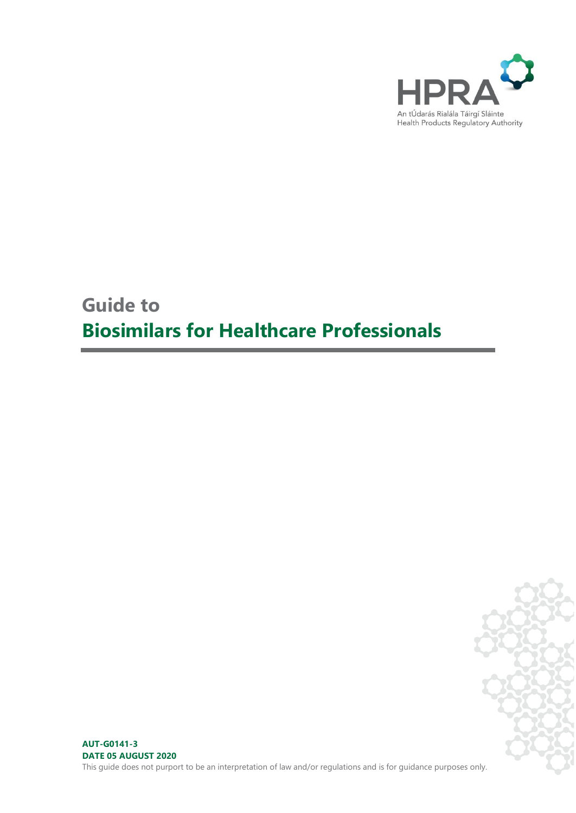

# **Guide to Biosimilars for Healthcare Professionals**



**AUT-G0141-3 DATE 05 AUGUST 2020** This guide does not purport to be an interpretation of law and/or regulations and is for guidance purposes only.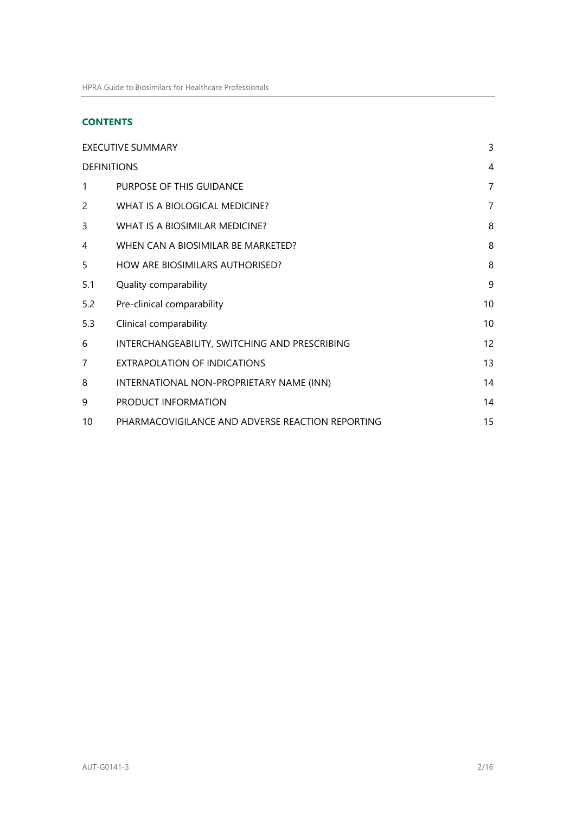# **CONTENTS**

| <b>EXECUTIVE SUMMARY</b> |                                                  |                |
|--------------------------|--------------------------------------------------|----------------|
| <b>DEFINITIONS</b>       |                                                  |                |
| 1                        | PURPOSE OF THIS GUIDANCE                         | $\overline{7}$ |
| 2                        | WHAT IS A BIOLOGICAL MEDICINE?                   | 7              |
| 3                        | WHAT IS A BIOSIMILAR MEDICINE?                   | 8              |
| 4                        | WHEN CAN A BIOSIMILAR BE MARKETED?               | 8              |
| 5                        | HOW ARE BIOSIMILARS AUTHORISED?                  | 8              |
| 5.1                      | Quality comparability                            | 9              |
| 5.2                      | Pre-clinical comparability                       | 10             |
| 5.3                      | Clinical comparability                           | 10             |
| 6                        | INTERCHANGEABILITY, SWITCHING AND PRESCRIBING    | 12             |
| $\overline{7}$           | EXTRAPOLATION OF INDICATIONS                     | 13             |
| 8                        | INTERNATIONAL NON-PROPRIETARY NAME (INN)         | 14             |
| 9                        | PRODUCT INFORMATION                              | 14             |
| 10                       | PHARMACOVIGILANCE AND ADVERSE REACTION REPORTING | 15             |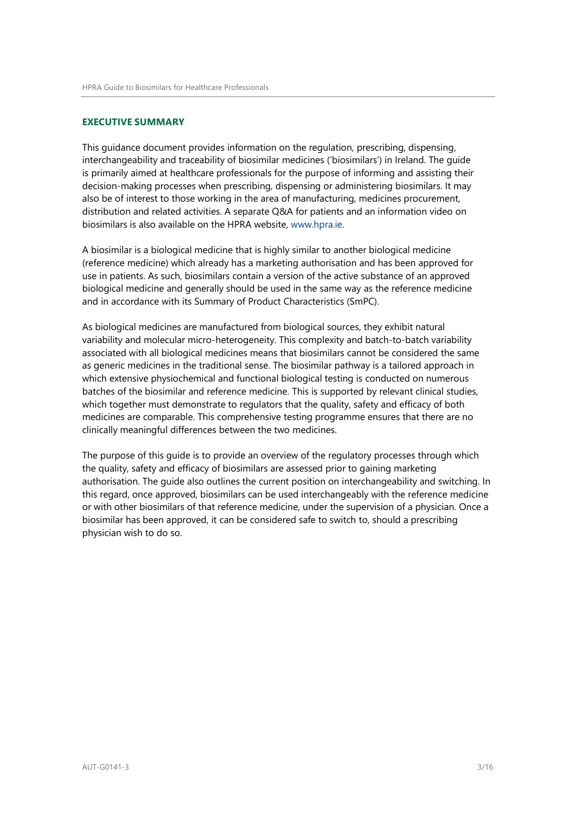#### <span id="page-2-0"></span>**EXECUTIVE SUMMARY**

This guidance document provides information on the regulation, prescribing, dispensing, interchangeability and traceability of biosimilar medicines ('biosimilars') in Ireland. The guide is primarily aimed at healthcare professionals for the purpose of informing and assisting their decision-making processes when prescribing, dispensing or administering biosimilars. It may also be of interest to those working in the area of manufacturing, medicines procurement, distribution and related activities. A separate Q&A for patients and an information video on biosimilars is also available on the HPRA website, ww[w.hpra.ie.](http://www.hpra.ie/)

A biosimilar is a biological medicine that is highly similar to another biological medicine (reference medicine) which already has a marketing authorisation and has been approved for use in patients. As such, biosimilars contain a version of the active substance of an approved biological medicine and generally should be used in the same way as the reference medicine and in accordance with its Summary of Product Characteristics (SmPC).

As biological medicines are manufactured from biological sources, they exhibit natural variability and molecular micro-heterogeneity. This complexity and batch-to-batch variability associated with all biological medicines means that biosimilars cannot be considered the same as generic medicines in the traditional sense. The biosimilar pathway is a tailored approach in which extensive physiochemical and functional biological testing is conducted on numerous batches of the biosimilar and reference medicine. This is supported by relevant clinical studies, which together must demonstrate to regulators that the quality, safety and efficacy of both medicines are comparable. This comprehensive testing programme ensures that there are no clinically meaningful differences between the two medicines.

The purpose of this guide is to provide an overview of the regulatory processes through which the quality, safety and efficacy of biosimilars are assessed prior to gaining marketing authorisation. The guide also outlines the current position on interchangeability and switching. In this regard, once approved, biosimilars can be used interchangeably with the reference medicine or with other biosimilars of that reference medicine, under the supervision of a physician. Once a biosimilar has been approved, it can be considered safe to switch to, should a prescribing physician wish to do so.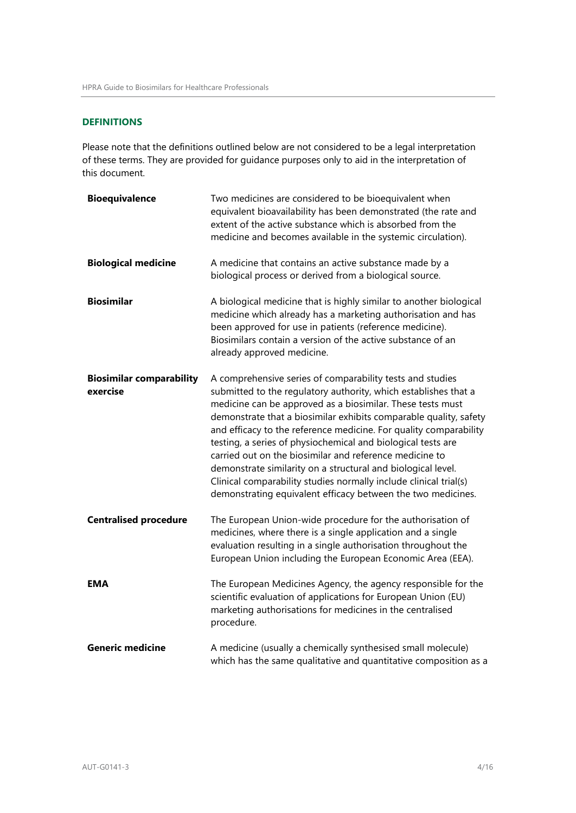# <span id="page-3-0"></span>**DEFINITIONS**

Please note that the definitions outlined below are not considered to be a legal interpretation of these terms. They are provided for guidance purposes only to aid in the interpretation of this document.

| <b>Bioequivalence</b>                       | Two medicines are considered to be bioequivalent when<br>equivalent bioavailability has been demonstrated (the rate and<br>extent of the active substance which is absorbed from the<br>medicine and becomes available in the systemic circulation).                                                                                                                                                                                                                                                                                                                                                                                                                 |
|---------------------------------------------|----------------------------------------------------------------------------------------------------------------------------------------------------------------------------------------------------------------------------------------------------------------------------------------------------------------------------------------------------------------------------------------------------------------------------------------------------------------------------------------------------------------------------------------------------------------------------------------------------------------------------------------------------------------------|
| <b>Biological medicine</b>                  | A medicine that contains an active substance made by a<br>biological process or derived from a biological source.                                                                                                                                                                                                                                                                                                                                                                                                                                                                                                                                                    |
| <b>Biosimilar</b>                           | A biological medicine that is highly similar to another biological<br>medicine which already has a marketing authorisation and has<br>been approved for use in patients (reference medicine).<br>Biosimilars contain a version of the active substance of an<br>already approved medicine.                                                                                                                                                                                                                                                                                                                                                                           |
| <b>Biosimilar comparability</b><br>exercise | A comprehensive series of comparability tests and studies<br>submitted to the regulatory authority, which establishes that a<br>medicine can be approved as a biosimilar. These tests must<br>demonstrate that a biosimilar exhibits comparable quality, safety<br>and efficacy to the reference medicine. For quality comparability<br>testing, a series of physiochemical and biological tests are<br>carried out on the biosimilar and reference medicine to<br>demonstrate similarity on a structural and biological level.<br>Clinical comparability studies normally include clinical trial(s)<br>demonstrating equivalent efficacy between the two medicines. |
| <b>Centralised procedure</b>                | The European Union-wide procedure for the authorisation of<br>medicines, where there is a single application and a single<br>evaluation resulting in a single authorisation throughout the<br>European Union including the European Economic Area (EEA).                                                                                                                                                                                                                                                                                                                                                                                                             |
| <b>EMA</b>                                  | The European Medicines Agency, the agency responsible for the<br>scientific evaluation of applications for European Union (EU)<br>marketing authorisations for medicines in the centralised<br>procedure.                                                                                                                                                                                                                                                                                                                                                                                                                                                            |
| <b>Generic medicine</b>                     | A medicine (usually a chemically synthesised small molecule)<br>which has the same qualitative and quantitative composition as a                                                                                                                                                                                                                                                                                                                                                                                                                                                                                                                                     |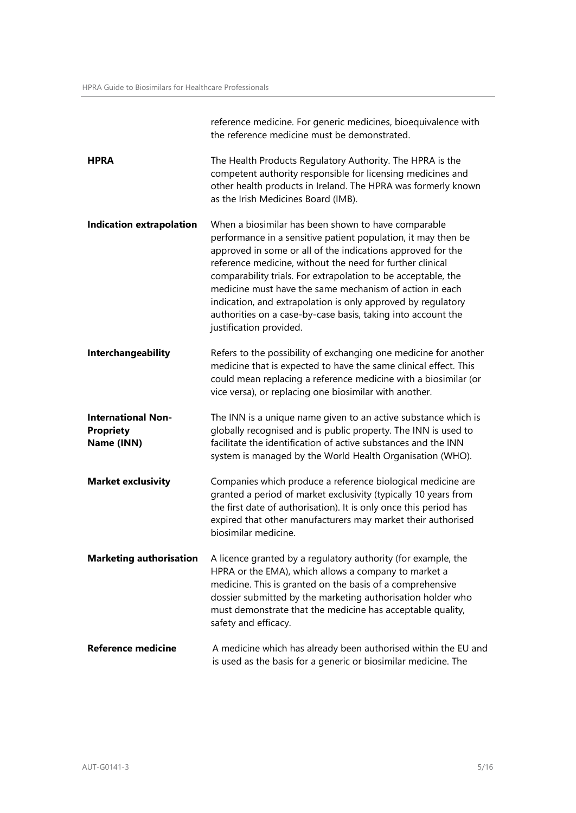|                                                             | reference medicine. For generic medicines, bioequivalence with<br>the reference medicine must be demonstrated.                                                                                                                                                                                                                                                                                                                                                                                                                          |
|-------------------------------------------------------------|-----------------------------------------------------------------------------------------------------------------------------------------------------------------------------------------------------------------------------------------------------------------------------------------------------------------------------------------------------------------------------------------------------------------------------------------------------------------------------------------------------------------------------------------|
| HPRA                                                        | The Health Products Regulatory Authority. The HPRA is the<br>competent authority responsible for licensing medicines and<br>other health products in Ireland. The HPRA was formerly known<br>as the Irish Medicines Board (IMB).                                                                                                                                                                                                                                                                                                        |
| <b>Indication extrapolation</b>                             | When a biosimilar has been shown to have comparable<br>performance in a sensitive patient population, it may then be<br>approved in some or all of the indications approved for the<br>reference medicine, without the need for further clinical<br>comparability trials. For extrapolation to be acceptable, the<br>medicine must have the same mechanism of action in each<br>indication, and extrapolation is only approved by regulatory<br>authorities on a case-by-case basis, taking into account the<br>justification provided. |
| Interchangeability                                          | Refers to the possibility of exchanging one medicine for another<br>medicine that is expected to have the same clinical effect. This<br>could mean replacing a reference medicine with a biosimilar (or<br>vice versa), or replacing one biosimilar with another.                                                                                                                                                                                                                                                                       |
| <b>International Non-</b><br><b>Propriety</b><br>Name (INN) | The INN is a unique name given to an active substance which is<br>globally recognised and is public property. The INN is used to<br>facilitate the identification of active substances and the INN<br>system is managed by the World Health Organisation (WHO).                                                                                                                                                                                                                                                                         |
| <b>Market exclusivity</b>                                   | Companies which produce a reference biological medicine are<br>granted a period of market exclusivity (typically 10 years from<br>the first date of authorisation). It is only once this period has<br>expired that other manufacturers may market their authorised<br>biosimilar medicine.                                                                                                                                                                                                                                             |
| <b>Marketing authorisation</b>                              | A licence granted by a regulatory authority (for example, the<br>HPRA or the EMA), which allows a company to market a<br>medicine. This is granted on the basis of a comprehensive<br>dossier submitted by the marketing authorisation holder who<br>must demonstrate that the medicine has acceptable quality,<br>safety and efficacy.                                                                                                                                                                                                 |
| <b>Reference medicine</b>                                   | A medicine which has already been authorised within the EU and<br>is used as the basis for a generic or biosimilar medicine. The                                                                                                                                                                                                                                                                                                                                                                                                        |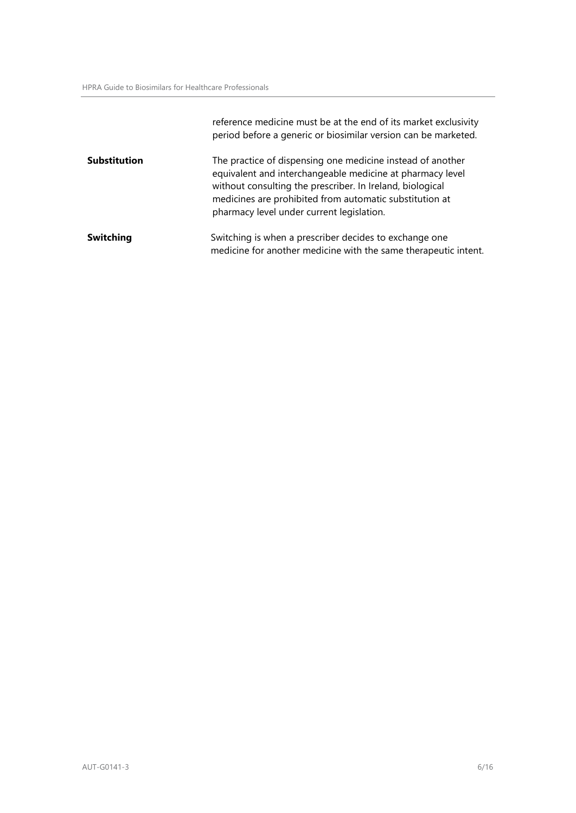|                     | reference medicine must be at the end of its market exclusivity<br>period before a generic or biosimilar version can be marketed.                                                                                                                                                            |
|---------------------|----------------------------------------------------------------------------------------------------------------------------------------------------------------------------------------------------------------------------------------------------------------------------------------------|
| <b>Substitution</b> | The practice of dispensing one medicine instead of another<br>equivalent and interchangeable medicine at pharmacy level<br>without consulting the prescriber. In Ireland, biological<br>medicines are prohibited from automatic substitution at<br>pharmacy level under current legislation. |
| <b>Switching</b>    | Switching is when a prescriber decides to exchange one<br>medicine for another medicine with the same therapeutic intent.                                                                                                                                                                    |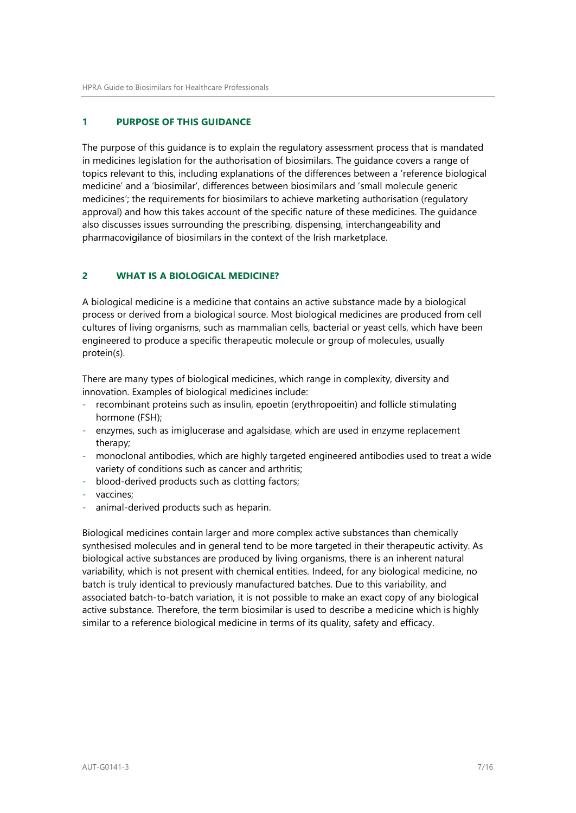# <span id="page-6-0"></span>**1 PURPOSE OF THIS GUIDANCE**

The purpose of this guidance is to explain the regulatory assessment process that is mandated in medicines legislation for the authorisation of biosimilars. The guidance covers a range of topics relevant to this, including explanations of the differences between a 'reference biological medicine' and a 'biosimilar', differences between biosimilars and 'small molecule generic medicines'; the requirements for biosimilars to achieve marketing authorisation (regulatory approval) and how this takes account of the specific nature of these medicines. The guidance also discusses issues surrounding the prescribing, dispensing, interchangeability and pharmacovigilance of biosimilars in the context of the Irish marketplace.

## <span id="page-6-1"></span>**2 WHAT IS A BIOLOGICAL MEDICINE?**

A biological medicine is a medicine that contains an active substance made by a biological process or derived from a biological source. Most biological medicines are produced from cell cultures of living organisms, such as mammalian cells, bacterial or yeast cells, which have been engineered to produce a specific therapeutic molecule or group of molecules, usually protein(s).

There are many types of biological medicines, which range in complexity, diversity and innovation. Examples of biological medicines include:

- recombinant proteins such as insulin, epoetin (erythropoeitin) and follicle stimulating hormone (FSH);
- enzymes, such as imiglucerase and agalsidase, which are used in enzyme replacement therapy;
- monoclonal antibodies, which are highly targeted engineered antibodies used to treat a wide variety of conditions such as cancer and arthritis;
- blood-derived products such as clotting factors;
- vaccines;
- animal-derived products such as heparin.

Biological medicines contain larger and more complex active substances than chemically synthesised molecules and in general tend to be more targeted in their therapeutic activity. As biological active substances are produced by living organisms, there is an inherent natural variability, which is not present with chemical entities. Indeed, for any biological medicine, no batch is truly identical to previously manufactured batches. Due to this variability, and associated batch-to-batch variation, it is not possible to make an exact copy of any biological active substance. Therefore, the term biosimilar is used to describe a medicine which is highly similar to a reference biological medicine in terms of its quality, safety and efficacy.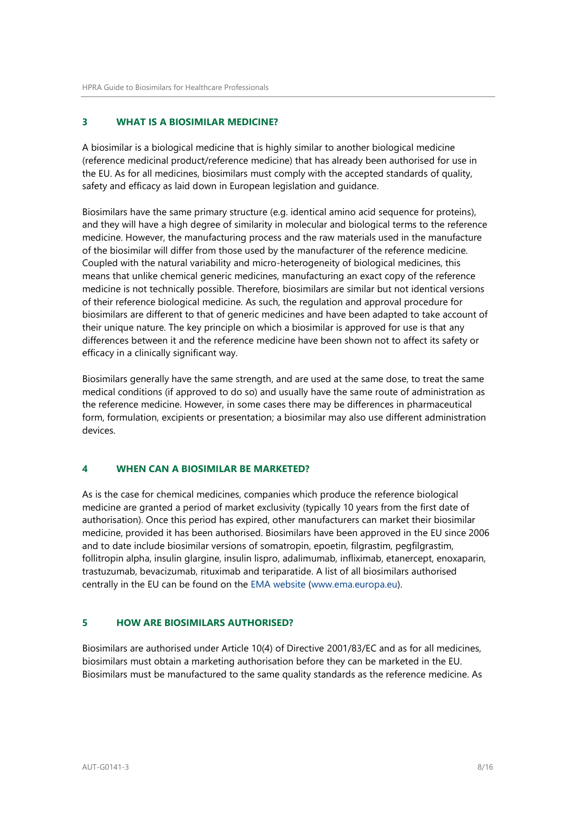# <span id="page-7-0"></span>**3 WHAT IS A BIOSIMILAR MEDICINE?**

A biosimilar is a biological medicine that is highly similar to another biological medicine (reference medicinal product/reference medicine) that has already been authorised for use in the EU. As for all medicines, biosimilars must comply with the accepted standards of quality, safety and efficacy as laid down in European legislation and guidance.

Biosimilars have the same primary structure (e.g. identical amino acid sequence for proteins), and they will have a high degree of similarity in molecular and biological terms to the reference medicine. However, the manufacturing process and the raw materials used in the manufacture of the biosimilar will differ from those used by the manufacturer of the reference medicine. Coupled with the natural variability and micro-heterogeneity of biological medicines, this means that unlike chemical generic medicines, manufacturing an exact copy of the reference medicine is not technically possible. Therefore, biosimilars are similar but not identical versions of their reference biological medicine. As such, the regulation and approval procedure for biosimilars are different to that of generic medicines and have been adapted to take account of their unique nature. The key principle on which a biosimilar is approved for use is that any differences between it and the reference medicine have been shown not to affect its safety or efficacy in a clinically significant way.

Biosimilars generally have the same strength, and are used at the same dose, to treat the same medical conditions (if approved to do so) and usually have the same route of administration as the reference medicine. However, in some cases there may be differences in pharmaceutical form, formulation, excipients or presentation; a biosimilar may also use different administration devices.

## <span id="page-7-1"></span>**4 WHEN CAN A BIOSIMILAR BE MARKETED?**

As is the case for chemical medicines, companies which produce the reference biological medicine are granted a period of market exclusivity (typically 10 years from the first date of authorisation). Once this period has expired, other manufacturers can market their biosimilar medicine, provided it has been authorised. Biosimilars have been approved in the EU since 2006 and to date include biosimilar versions of somatropin, epoetin, filgrastim, pegfilgrastim, follitropin alpha, insulin glargine, insulin lispro, adalimumab, infliximab, etanercept, enoxaparin, trastuzumab, bevacizumab, rituximab and teriparatide. A list of all biosimilars authorised centrally in the EU can be found on the [EMA website \(www.ema.europa.eu\)](http://www.ema.europa.eu/ema/index.jsp?curl=pages%2Fmedicines%2Flanding%2Fepar_search.jsp&mid=WC0b01ac058001d124&searchTab=searchByAuthType&alreadyLoaded=true&isNewQuery=true&status=Authorised&keyword=Enter%2Bkeywords&searchType=name&taxonomyPath&treeNumber&searchGenericType=biosimilars&genericsKeywordSearch=Submit).

## <span id="page-7-2"></span>**5 HOW ARE BIOSIMILARS AUTHORISED?**

Biosimilars are authorised under Article 10(4) of Directive 2001/83/EC and as for all medicines, biosimilars must obtain a marketing authorisation before they can be marketed in the EU. Biosimilars must be manufactured to the same quality standards as the reference medicine. As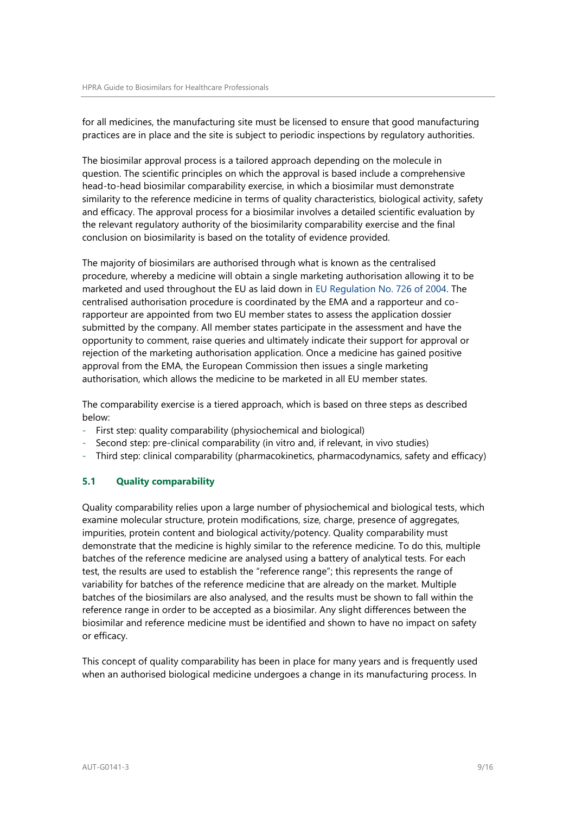for all medicines, the manufacturing site must be licensed to ensure that good manufacturing practices are in place and the site is subject to periodic inspections by regulatory authorities.

The biosimilar approval process is a tailored approach depending on the molecule in question. The scientific principles on which the approval is based include a comprehensive head-to-head biosimilar comparability exercise, in which a biosimilar must demonstrate similarity to the reference medicine in terms of quality characteristics, biological activity, safety and efficacy. The approval process for a biosimilar involves a detailed scientific evaluation by the relevant regulatory authority of the biosimilarity comparability exercise and the final conclusion on biosimilarity is based on the totality of evidence provided.

The majority of biosimilars are authorised through what is known as the centralised procedure, whereby a medicine will obtain a single marketing authorisation allowing it to be marketed and used throughout the EU as laid down in [EU Regulation No. 726 of 2004. T](http://eur-lex.europa.eu/LexUriServ/LexUriServ.do?uri=OJ%3AL%3A2004%3A136%3A0001%3A0033%3Aen%3APDF)he centralised authorisation procedure is coordinated by the EMA and a rapporteur and corapporteur are appointed from two EU member states to assess the application dossier submitted by the company. All member states participate in the assessment and have the opportunity to comment, raise queries and ultimately indicate their support for approval or rejection of the marketing authorisation application. Once a medicine has gained positive approval from the EMA, the European Commission then issues a single marketing authorisation, which allows the medicine to be marketed in all EU member states.

The comparability exercise is a tiered approach, which is based on three steps as described below:

- First step: quality comparability (physiochemical and biological)
- Second step: pre-clinical comparability (in vitro and, if relevant, in vivo studies)
- Third step: clinical comparability (pharmacokinetics, pharmacodynamics, safety and efficacy)

## <span id="page-8-0"></span>**5.1 Quality comparability**

Quality comparability relies upon a large number of physiochemical and biological tests, which examine molecular structure, protein modifications, size, charge, presence of aggregates, impurities, protein content and biological activity/potency. Quality comparability must demonstrate that the medicine is highly similar to the reference medicine. To do this, multiple batches of the reference medicine are analysed using a battery of analytical tests. For each test, the results are used to establish the "reference range"; this represents the range of variability for batches of the reference medicine that are already on the market. Multiple batches of the biosimilars are also analysed, and the results must be shown to fall within the reference range in order to be accepted as a biosimilar. Any slight differences between the biosimilar and reference medicine must be identified and shown to have no impact on safety or efficacy.

This concept of quality comparability has been in place for many years and is frequently used when an authorised biological medicine undergoes a change in its manufacturing process. In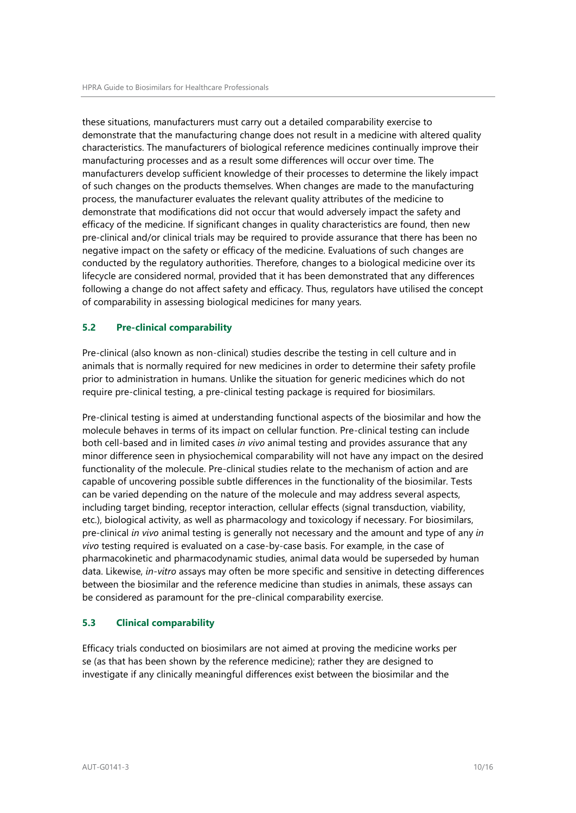these situations, manufacturers must carry out a detailed comparability exercise to demonstrate that the manufacturing change does not result in a medicine with altered quality characteristics. The manufacturers of biological reference medicines continually improve their manufacturing processes and as a result some differences will occur over time. The manufacturers develop sufficient knowledge of their processes to determine the likely impact of such changes on the products themselves. When changes are made to the manufacturing process, the manufacturer evaluates the relevant quality attributes of the medicine to demonstrate that modifications did not occur that would adversely impact the safety and efficacy of the medicine. If significant changes in quality characteristics are found, then new pre-clinical and/or clinical trials may be required to provide assurance that there has been no negative impact on the safety or efficacy of the medicine. Evaluations of such changes are conducted by the regulatory authorities. Therefore, changes to a biological medicine over its lifecycle are considered normal, provided that it has been demonstrated that any differences following a change do not affect safety and efficacy. Thus, regulators have utilised the concept of comparability in assessing biological medicines for many years.

## <span id="page-9-0"></span>**5.2 Pre-clinical comparability**

Pre-clinical (also known as non-clinical) studies describe the testing in cell culture and in animals that is normally required for new medicines in order to determine their safety profile prior to administration in humans. Unlike the situation for generic medicines which do not require pre-clinical testing, a pre-clinical testing package is required for biosimilars.

Pre-clinical testing is aimed at understanding functional aspects of the biosimilar and how the molecule behaves in terms of its impact on cellular function. Pre-clinical testing can include both cell-based and in limited cases *in vivo* animal testing and provides assurance that any minor difference seen in physiochemical comparability will not have any impact on the desired functionality of the molecule. Pre-clinical studies relate to the mechanism of action and are capable of uncovering possible subtle differences in the functionality of the biosimilar. Tests can be varied depending on the nature of the molecule and may address several aspects, including target binding, receptor interaction, cellular effects (signal transduction, viability, etc.), biological activity, as well as pharmacology and toxicology if necessary. For biosimilars, pre-clinical *in vivo* animal testing is generally not necessary and the amount and type of any *in vivo* testing required is evaluated on a case-by-case basis. For example, in the case of pharmacokinetic and pharmacodynamic studies, animal data would be superseded by human data. Likewise, *in-vitro* assays may often be more specific and sensitive in detecting differences between the biosimilar and the reference medicine than studies in animals, these assays can be considered as paramount for the pre-clinical comparability exercise.

# <span id="page-9-1"></span>**5.3 Clinical comparability**

Efficacy trials conducted on biosimilars are not aimed at proving the medicine works per se (as that has been shown by the reference medicine); rather they are designed to investigate if any clinically meaningful differences exist between the biosimilar and the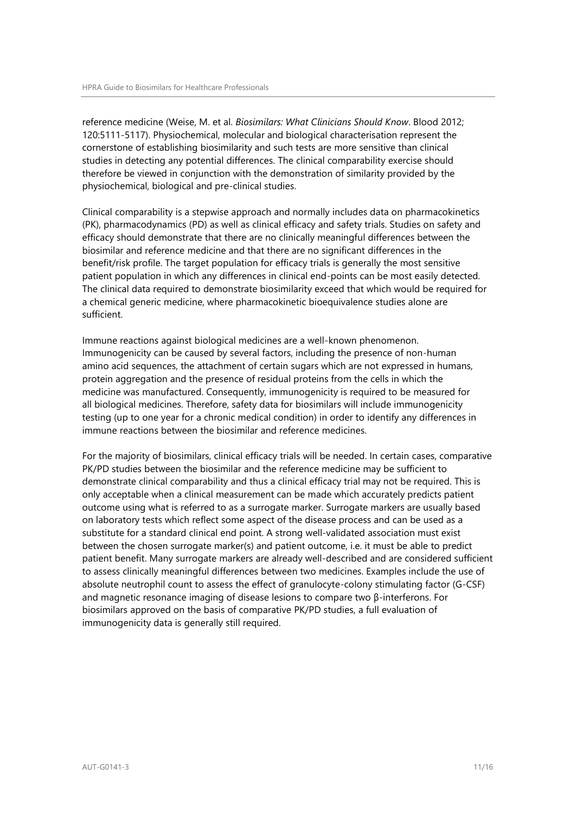reference medicine (Weise, M. et al. *Biosimilars: What Clinicians Should Know*. Blood 2012; 120:5111-5117). Physiochemical, molecular and biological characterisation represent the cornerstone of establishing biosimilarity and such tests are more sensitive than clinical studies in detecting any potential differences. The clinical comparability exercise should therefore be viewed in conjunction with the demonstration of similarity provided by the physiochemical, biological and pre-clinical studies.

Clinical comparability is a stepwise approach and normally includes data on pharmacokinetics (PK), pharmacodynamics (PD) as well as clinical efficacy and safety trials. Studies on safety and efficacy should demonstrate that there are no clinically meaningful differences between the biosimilar and reference medicine and that there are no significant differences in the benefit/risk profile. The target population for efficacy trials is generally the most sensitive patient population in which any differences in clinical end-points can be most easily detected. The clinical data required to demonstrate biosimilarity exceed that which would be required for a chemical generic medicine, where pharmacokinetic bioequivalence studies alone are sufficient.

Immune reactions against biological medicines are a well-known phenomenon. Immunogenicity can be caused by several factors, including the presence of non-human amino acid sequences, the attachment of certain sugars which are not expressed in humans, protein aggregation and the presence of residual proteins from the cells in which the medicine was manufactured. Consequently, immunogenicity is required to be measured for all biological medicines. Therefore, safety data for biosimilars will include immunogenicity testing (up to one year for a chronic medical condition) in order to identify any differences in immune reactions between the biosimilar and reference medicines.

For the majority of biosimilars, clinical efficacy trials will be needed. In certain cases, comparative PK/PD studies between the biosimilar and the reference medicine may be sufficient to demonstrate clinical comparability and thus a clinical efficacy trial may not be required. This is only acceptable when a clinical measurement can be made which accurately predicts patient outcome using what is referred to as a surrogate marker. Surrogate markers are usually based on laboratory tests which reflect some aspect of the disease process and can be used as a substitute for a standard clinical end point. A strong well-validated association must exist between the chosen surrogate marker(s) and patient outcome, i.e. it must be able to predict patient benefit. Many surrogate markers are already well-described and are considered sufficient to assess clinically meaningful differences between two medicines. Examples include the use of absolute neutrophil count to assess the effect of granulocyte-colony stimulating factor (G-CSF) and magnetic resonance imaging of disease lesions to compare two β-interferons. For biosimilars approved on the basis of comparative PK/PD studies, a full evaluation of immunogenicity data is generally still required.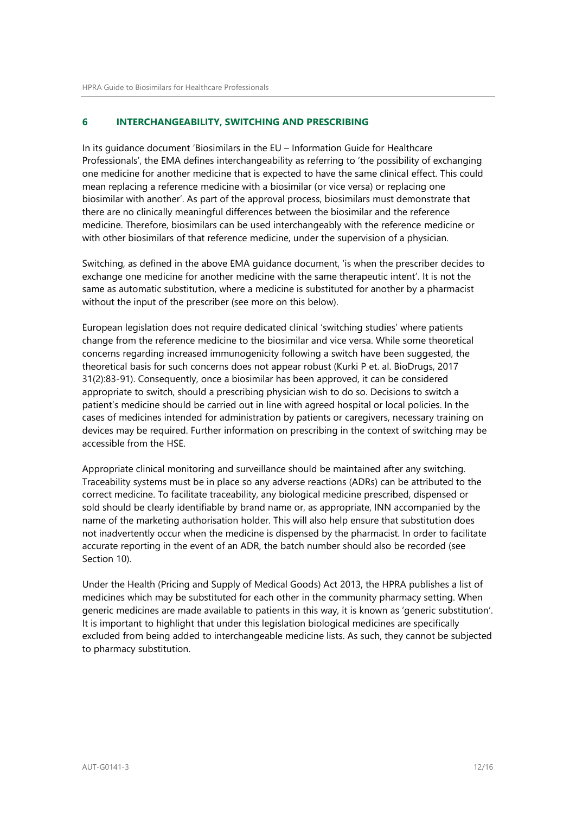# <span id="page-11-0"></span>**6 INTERCHANGEABILITY, SWITCHING AND PRESCRIBING**

In its guidance document 'Biosimilars in the EU – Information Guide for Healthcare Professionals', the EMA defines interchangeability as referring to 'the possibility of exchanging one medicine for another medicine that is expected to have the same clinical effect. This could mean replacing a reference medicine with a biosimilar (or vice versa) or replacing one biosimilar with another'. As part of the approval process, biosimilars must demonstrate that there are no clinically meaningful differences between the biosimilar and the reference medicine. Therefore, biosimilars can be used interchangeably with the reference medicine or with other biosimilars of that reference medicine, under the supervision of a physician.

Switching, as defined in the above EMA guidance document, 'is when the prescriber decides to exchange one medicine for another medicine with the same therapeutic intent'. It is not the same as automatic substitution, where a medicine is substituted for another by a pharmacist without the input of the prescriber (see more on this below).

European legislation does not require dedicated clinical 'switching studies' where patients change from the reference medicine to the biosimilar and vice versa. While some theoretical concerns regarding increased immunogenicity following a switch have been suggested, the theoretical basis for such concerns does not appear robust (Kurki P et. al. BioDrugs, 2017 31(2):83-91). Consequently, once a biosimilar has been approved, it can be considered appropriate to switch, should a prescribing physician wish to do so. Decisions to switch a patient's medicine should be carried out in line with agreed hospital or local policies. In the cases of medicines intended for administration by patients or caregivers, necessary training on devices may be required. Further information on prescribing in the context of switching may be accessible from the HSE.

Appropriate clinical monitoring and surveillance should be maintained after any switching. Traceability systems must be in place so any adverse reactions (ADRs) can be attributed to the correct medicine. To facilitate traceability, any biological medicine prescribed, dispensed or sold should be clearly identifiable by brand name or, as appropriate, INN accompanied by the name of the marketing authorisation holder. This will also help ensure that substitution does not inadvertently occur when the medicine is dispensed by the pharmacist. In order to facilitate accurate reporting in the event of an ADR, the batch number should also be recorded (see Section 10).

Under the Health (Pricing and Supply of Medical Goods) Act 2013, the HPRA publishes a list of medicines which may be substituted for each other in the community pharmacy setting. When generic medicines are made available to patients in this way, it is known as 'generic substitution'. It is important to highlight that under this legislation biological medicines are specifically excluded from being added to interchangeable medicine lists. As such, they cannot be subjected to pharmacy substitution.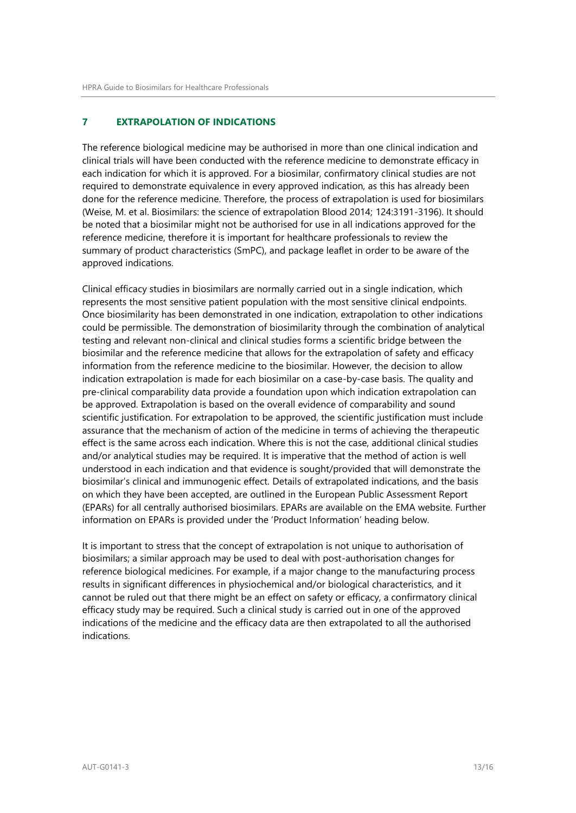# <span id="page-12-0"></span>**7 EXTRAPOLATION OF INDICATIONS**

The reference biological medicine may be authorised in more than one clinical indication and clinical trials will have been conducted with the reference medicine to demonstrate efficacy in each indication for which it is approved. For a biosimilar, confirmatory clinical studies are not required to demonstrate equivalence in every approved indication, as this has already been done for the reference medicine. Therefore, the process of extrapolation is used for biosimilars (Weise, M. et al. Biosimilars: the science of extrapolation Blood 2014; 124:3191-3196). It should be noted that a biosimilar might not be authorised for use in all indications approved for the reference medicine, therefore it is important for healthcare professionals to review the summary of product characteristics (SmPC), and package leaflet in order to be aware of the approved indications.

Clinical efficacy studies in biosimilars are normally carried out in a single indication, which represents the most sensitive patient population with the most sensitive clinical endpoints. Once biosimilarity has been demonstrated in one indication, extrapolation to other indications could be permissible. The demonstration of biosimilarity through the combination of analytical testing and relevant non-clinical and clinical studies forms a scientific bridge between the biosimilar and the reference medicine that allows for the extrapolation of safety and efficacy information from the reference medicine to the biosimilar. However, the decision to allow indication extrapolation is made for each biosimilar on a case-by-case basis. The quality and pre-clinical comparability data provide a foundation upon which indication extrapolation can be approved. Extrapolation is based on the overall evidence of comparability and sound scientific justification. For extrapolation to be approved, the scientific justification must include assurance that the mechanism of action of the medicine in terms of achieving the therapeutic effect is the same across each indication. Where this is not the case, additional clinical studies and/or analytical studies may be required. It is imperative that the method of action is well understood in each indication and that evidence is sought/provided that will demonstrate the biosimilar's clinical and immunogenic effect. Details of extrapolated indications, and the basis on which they have been accepted, are outlined in the European Public Assessment Report (EPARs) for all centrally authorised biosimilars. EPARs are available on the EMA website. Further information on EPARs is provided under the 'Product Information' heading below.

It is important to stress that the concept of extrapolation is not unique to authorisation of biosimilars; a similar approach may be used to deal with post-authorisation changes for reference biological medicines. For example, if a major change to the manufacturing process results in significant differences in physiochemical and/or biological characteristics, and it cannot be ruled out that there might be an effect on safety or efficacy, a confirmatory clinical efficacy study may be required. Such a clinical study is carried out in one of the approved indications of the medicine and the efficacy data are then extrapolated to all the authorised indications.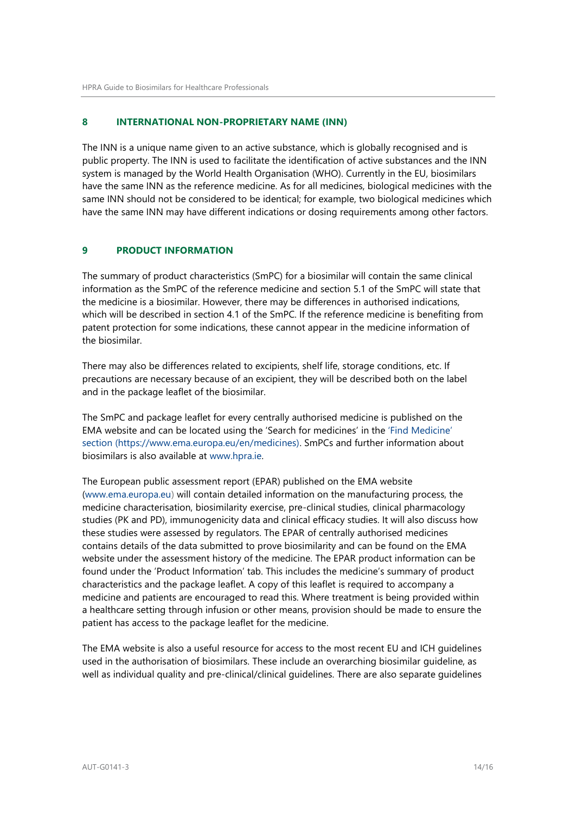#### <span id="page-13-0"></span>**8 INTERNATIONAL NON-PROPRIETARY NAME (INN)**

The INN is a unique name given to an active substance, which is globally recognised and is public property. The INN is used to facilitate the identification of active substances and the INN system is managed by the World Health Organisation (WHO). Currently in the EU, biosimilars have the same INN as the reference medicine. As for all medicines, biological medicines with the same INN should not be considered to be identical; for example, two biological medicines which have the same INN may have different indications or dosing requirements among other factors.

## <span id="page-13-1"></span>**9 PRODUCT INFORMATION**

The summary of product characteristics (SmPC) for a biosimilar will contain the same clinical information as the SmPC of the reference medicine and section 5.1 of the SmPC will state that the medicine is a biosimilar. However, there may be differences in authorised indications, which will be described in section 4.1 of the SmPC. If the reference medicine is benefiting from patent protection for some indications, these cannot appear in the medicine information of the biosimilar.

There may also be differences related to excipients, shelf life, storage conditions, etc. If precautions are necessary because of an excipient, they will be described both on the label and in the package leaflet of the biosimilar.

The SmPC and package leaflet for every centrally authorised medicine is published on the EMA website and can be located using the 'Search for medicines' in the ['Find Medicine'](file:///C:/Users/lallyma/AppData/Local/Microsoft/Windows/INetCache/Content.Outlook/TSTM9F7Z/)  section [\(https://www.ema.europa.eu/en/medicines\).](file:///C:/Users/lallyma/AppData/Local/Microsoft/Windows/INetCache/Content.Outlook/TSTM9F7Z/) SmPCs and further information about biosimilars is also available at [www.hpra.ie.](http://www.hpra.ie/)

The European public assessment report (EPAR) published on the EMA websit[e](http://www.ema.europa.eu/) [\(www.ema.europa.eu\)](http://www.ema.europa.eu/) will contain detailed information on the manufacturing process, the medicine characterisation, biosimilarity exercise, pre-clinical studies, clinical pharmacology studies (PK and PD), immunogenicity data and clinical efficacy studies. It will also discuss how these studies were assessed by regulators. The EPAR of centrally authorised medicines contains details of the data submitted to prove biosimilarity and can be found on the EMA website under the assessment history of the medicine. The EPAR product information can be found under the 'Product Information' tab. This includes the medicine's summary of product characteristics and the package leaflet. A copy of this leaflet is required to accompany a medicine and patients are encouraged to read this. Where treatment is being provided within a healthcare setting through infusion or other means, provision should be made to ensure the patient has access to the package leaflet for the medicine.

The EMA website is also a useful resource for access to the most recent EU and ICH guidelines used in the authorisation of biosimilars. These include an overarching biosimilar guideline, as well as individual quality and pre-clinical/clinical guidelines. There are also separate guidelines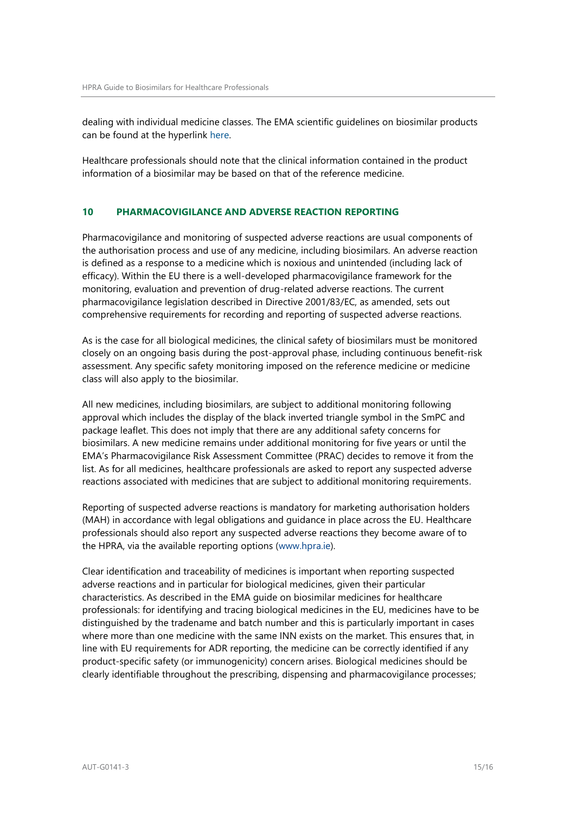dealing with individual medicine classes. The EMA scientific guidelines on biosimilar products can be found at the hyperlink [here.](https://www.ema.europa.eu/en/human-regulatory/research-development/scientific-guidelines/multidisciplinary/multidisciplinary-biosimilar)

Healthcare professionals should note that the clinical information contained in the product information of a biosimilar may be based on that of the reference medicine.

## <span id="page-14-0"></span>**10 PHARMACOVIGILANCE AND ADVERSE REACTION REPORTING**

Pharmacovigilance and monitoring of suspected adverse reactions are usual components of the authorisation process and use of any medicine, including biosimilars. An adverse reaction is defined as a response to a medicine which is noxious and unintended (including lack of efficacy). Within the EU there is a well-developed pharmacovigilance framework for the monitoring, evaluation and prevention of drug-related adverse reactions. The current pharmacovigilance legislation described in Directive [2001/83/EC, as amended,](http://eur-lex.europa.eu/LexUriServ/LexUriServ.do?uri=OJ%3AL%3A2010%3A348%3A0074%3A0099%3AEN%3APDF) sets out comprehensive requirements for recording and reporting of suspected adverse reactions.

As is the case for all biological medicines, the clinical safety of biosimilars must be monitored closely on an ongoing basis during the post-approval phase, including continuous benefit-risk assessment. Any specific safety monitoring imposed on the reference medicine or medicine class will also apply to the biosimilar.

All new medicines, including biosimilars, are subject to additional monitoring following approval which includes the display of the black inverted triangle symbol in the SmPC and package leaflet. This does not imply that there are any additional safety concerns for biosimilars. A new medicine remains under additional monitoring for five years or until the EMA's Pharmacovigilance Risk Assessment Committee (PRAC) decides to remove it from the list. As for all medicines, healthcare professionals are asked to report any suspected adverse reactions associated with medicines that are subject to additional monitoring requirements.

Reporting of suspected adverse reactions is mandatory for marketing authorisation holders (MAH) in accordance with legal obligations and guidance in place across the EU. Healthcare professionals should also report any suspected adverse reactions they become aware of to the HPRA, via the available reporting options [\(www.hpra.ie\)](file:///C:/Users/nolanl/AppData/Local/Microsoft/Windows/Temporary%20Internet%20Files/Content.Outlook/Y767MKFD/www.hpra.ie).

Clear identification and traceability of medicines is important when reporting suspected adverse reactions and in particular for biological medicines, given their particular characteristics. As described in the EMA guide on biosimilar medicines for healthcare professionals: for identifying and tracing biological medicines in the EU, medicines have to be distinguished by the tradename and batch number and this is particularly important in cases where more than one medicine with the same INN exists on the market. This ensures that, in line with EU requirements for ADR reporting, the medicine can be correctly identified if any product-specific safety (or immunogenicity) concern arises. Biological medicines should be clearly identifiable throughout the prescribing, dispensing and pharmacovigilance processes;